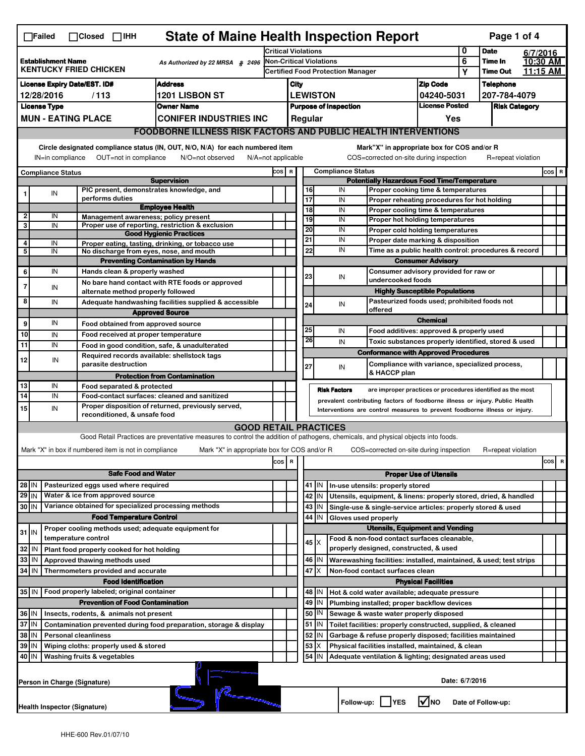|                                                                                               | <b>State of Maine Health Inspection Report</b><br>Page 1 of 4<br>$\Box$ Failed<br>$\Box$ Closed $\Box$ IHH                                                                                                                                                                                |                              |                                                       |                                                                                                                                                                   |       |                                                       |                                                                              |                 |                                                           |                                                    |                                                                       |                            |          |                    |  |         |
|-----------------------------------------------------------------------------------------------|-------------------------------------------------------------------------------------------------------------------------------------------------------------------------------------------------------------------------------------------------------------------------------------------|------------------------------|-------------------------------------------------------|-------------------------------------------------------------------------------------------------------------------------------------------------------------------|-------|-------------------------------------------------------|------------------------------------------------------------------------------|-----------------|-----------------------------------------------------------|----------------------------------------------------|-----------------------------------------------------------------------|----------------------------|----------|--------------------|--|---------|
|                                                                                               |                                                                                                                                                                                                                                                                                           |                              |                                                       | <b>Critical Violations</b>                                                                                                                                        |       |                                                       |                                                                              |                 |                                                           | 0                                                  | <b>Date</b>                                                           | 6/7/2016                   |          |                    |  |         |
| <b>Establishment Name</b><br>As Authorized by 22 MRSA § 2496<br><b>KENTUCKY FRIED CHICKEN</b> |                                                                                                                                                                                                                                                                                           |                              | <b>Non-Critical Violations</b>                        |                                                                                                                                                                   |       |                                                       |                                                                              | 6               | Time In                                                   |                                                    | 10:30 AM                                                              |                            |          |                    |  |         |
|                                                                                               |                                                                                                                                                                                                                                                                                           |                              |                                                       | <b>Certified Food Protection Manager</b>                                                                                                                          |       |                                                       |                                                                              |                 |                                                           | Υ                                                  | <b>Time Out</b>                                                       |                            | 11:15 AM |                    |  |         |
| <b>Address</b><br><b>License Expiry Date/EST. ID#</b>                                         |                                                                                                                                                                                                                                                                                           |                              |                                                       |                                                                                                                                                                   | City  |                                                       |                                                                              | <b>Zip Code</b> |                                                           | <b>Telephone</b>                                   |                                                                       |                            |          |                    |  |         |
| 1201 LISBON ST<br>12/28/2016<br>/113                                                          |                                                                                                                                                                                                                                                                                           |                              |                                                       |                                                                                                                                                                   |       | <b>LEWISTON</b><br>04240-5031                         |                                                                              |                 | 207-784-4079                                              |                                                    |                                                                       |                            |          |                    |  |         |
|                                                                                               | <b>License Type</b>                                                                                                                                                                                                                                                                       |                              |                                                       | <b>Owner Name</b>                                                                                                                                                 |       | <b>License Posted</b><br><b>Purpose of Inspection</b> |                                                                              |                 |                                                           | <b>Risk Category</b>                               |                                                                       |                            |          |                    |  |         |
|                                                                                               |                                                                                                                                                                                                                                                                                           | <b>MUN - EATING PLACE</b>    |                                                       | <b>CONIFER INDUSTRIES INC</b>                                                                                                                                     |       | Regular<br>Yes                                        |                                                                              |                 |                                                           |                                                    |                                                                       |                            |          |                    |  |         |
|                                                                                               | <b>FOODBORNE ILLNESS RISK FACTORS AND PUBLIC HEALTH INTERVENTIONS</b>                                                                                                                                                                                                                     |                              |                                                       |                                                                                                                                                                   |       |                                                       |                                                                              |                 |                                                           |                                                    |                                                                       |                            |          |                    |  |         |
|                                                                                               | Circle designated compliance status (IN, OUT, N/O, N/A) for each numbered item<br>Mark"X" in appropriate box for COS and/or R<br>OUT=not in compliance<br>COS=corrected on-site during inspection<br>IN=in compliance<br>N/O=not observed<br>$N/A = not$ applicable<br>R=repeat violation |                              |                                                       |                                                                                                                                                                   |       |                                                       |                                                                              |                 |                                                           |                                                    |                                                                       |                            |          |                    |  |         |
|                                                                                               | <b>Compliance Status</b>                                                                                                                                                                                                                                                                  |                              |                                                       |                                                                                                                                                                   | COS R |                                                       |                                                                              |                 | <b>Compliance Status</b>                                  |                                                    |                                                                       |                            |          |                    |  | $cos$ R |
|                                                                                               |                                                                                                                                                                                                                                                                                           |                              |                                                       | <b>Supervision</b>                                                                                                                                                |       |                                                       |                                                                              |                 |                                                           |                                                    | <b>Potentially Hazardous Food Time/Temperature</b>                    |                            |          |                    |  |         |
|                                                                                               | IN                                                                                                                                                                                                                                                                                        |                              |                                                       | PIC present, demonstrates knowledge, and                                                                                                                          |       |                                                       |                                                                              | 16              | IN                                                        |                                                    | Proper cooking time & temperatures                                    |                            |          |                    |  |         |
|                                                                                               |                                                                                                                                                                                                                                                                                           |                              | performs duties                                       | <b>Employee Health</b>                                                                                                                                            |       |                                                       | 17                                                                           |                 | IN                                                        |                                                    | Proper reheating procedures for hot holding                           |                            |          |                    |  |         |
| 2                                                                                             | IN                                                                                                                                                                                                                                                                                        |                              |                                                       | Management awareness; policy present                                                                                                                              |       |                                                       |                                                                              | 18<br>19        | IN<br>IN                                                  |                                                    | Proper cooling time & temperatures<br>Proper hot holding temperatures |                            |          |                    |  |         |
| 3                                                                                             | IN                                                                                                                                                                                                                                                                                        |                              |                                                       | Proper use of reporting, restriction & exclusion                                                                                                                  |       |                                                       | 20                                                                           |                 | IN                                                        |                                                    | Proper cold holding temperatures                                      |                            |          |                    |  |         |
| 4                                                                                             |                                                                                                                                                                                                                                                                                           |                              |                                                       | <b>Good Hygienic Practices</b>                                                                                                                                    |       |                                                       | 21                                                                           |                 | IN                                                        |                                                    | Proper date marking & disposition                                     |                            |          |                    |  |         |
| 5                                                                                             | IN<br>IN                                                                                                                                                                                                                                                                                  |                              |                                                       | Proper eating, tasting, drinking, or tobacco use<br>No discharge from eyes, nose, and mouth                                                                       |       |                                                       |                                                                              | 22              | IN                                                        |                                                    | Time as a public health control: procedures & record                  |                            |          |                    |  |         |
|                                                                                               |                                                                                                                                                                                                                                                                                           |                              |                                                       | <b>Preventing Contamination by Hands</b>                                                                                                                          |       |                                                       |                                                                              |                 |                                                           |                                                    |                                                                       | <b>Consumer Advisory</b>   |          |                    |  |         |
| 6                                                                                             | IN                                                                                                                                                                                                                                                                                        |                              | Hands clean & properly washed                         |                                                                                                                                                                   |       |                                                       | 23                                                                           |                 | IN                                                        |                                                    | Consumer advisory provided for raw or                                 |                            |          |                    |  |         |
| 7                                                                                             | IN                                                                                                                                                                                                                                                                                        |                              |                                                       | No bare hand contact with RTE foods or approved                                                                                                                   |       |                                                       |                                                                              |                 |                                                           |                                                    | undercooked foods                                                     |                            |          |                    |  |         |
|                                                                                               |                                                                                                                                                                                                                                                                                           |                              | alternate method properly followed                    |                                                                                                                                                                   |       |                                                       |                                                                              |                 |                                                           |                                                    | <b>Highly Susceptible Populations</b>                                 |                            |          |                    |  |         |
| 8                                                                                             | IN                                                                                                                                                                                                                                                                                        |                              |                                                       | Adequate handwashing facilities supplied & accessible                                                                                                             |       |                                                       | 24                                                                           |                 | IN                                                        |                                                    | Pasteurized foods used; prohibited foods not<br>offered               |                            |          |                    |  |         |
|                                                                                               |                                                                                                                                                                                                                                                                                           |                              |                                                       | <b>Approved Source</b>                                                                                                                                            |       |                                                       |                                                                              |                 |                                                           |                                                    |                                                                       | <b>Chemical</b>            |          |                    |  |         |
| 9                                                                                             | IN                                                                                                                                                                                                                                                                                        |                              | Food obtained from approved source                    |                                                                                                                                                                   |       |                                                       | 25                                                                           |                 | IN                                                        |                                                    | Food additives: approved & properly used                              |                            |          |                    |  |         |
| 10                                                                                            | IN                                                                                                                                                                                                                                                                                        |                              | Food received at proper temperature                   |                                                                                                                                                                   |       |                                                       |                                                                              | 26              | IN                                                        |                                                    | Toxic substances properly identified, stored & used                   |                            |          |                    |  |         |
| 11                                                                                            | IN                                                                                                                                                                                                                                                                                        |                              |                                                       | Food in good condition, safe, & unadulterated                                                                                                                     |       |                                                       |                                                                              |                 |                                                           |                                                    | <b>Conformance with Approved Procedures</b>                           |                            |          |                    |  |         |
| 12                                                                                            | IN                                                                                                                                                                                                                                                                                        |                              | parasite destruction                                  | Required records available: shellstock tags                                                                                                                       |       |                                                       | 27                                                                           |                 | IN                                                        |                                                    | Compliance with variance, specialized process,                        |                            |          |                    |  |         |
|                                                                                               |                                                                                                                                                                                                                                                                                           |                              |                                                       | <b>Protection from Contamination</b>                                                                                                                              |       |                                                       |                                                                              |                 |                                                           |                                                    | & HACCP plan                                                          |                            |          |                    |  |         |
| 13                                                                                            | IN                                                                                                                                                                                                                                                                                        |                              | Food separated & protected                            |                                                                                                                                                                   |       |                                                       |                                                                              |                 | <b>Risk Factors</b>                                       |                                                    | are improper practices or procedures identified as the most           |                            |          |                    |  |         |
| $\overline{14}$                                                                               | IN                                                                                                                                                                                                                                                                                        |                              |                                                       | Food-contact surfaces: cleaned and sanitized                                                                                                                      |       |                                                       |                                                                              |                 |                                                           |                                                    |                                                                       |                            |          |                    |  |         |
| 15                                                                                            | prevalent contributing factors of foodborne illness or injury. Public Health<br>Proper disposition of returned, previously served,<br>IN<br>Interventions are control measures to prevent foodborne illness or injury.<br>reconditioned, & unsafe food                                    |                              |                                                       |                                                                                                                                                                   |       |                                                       |                                                                              |                 |                                                           |                                                    |                                                                       |                            |          |                    |  |         |
|                                                                                               |                                                                                                                                                                                                                                                                                           |                              |                                                       |                                                                                                                                                                   |       |                                                       |                                                                              |                 |                                                           |                                                    |                                                                       |                            |          |                    |  |         |
|                                                                                               |                                                                                                                                                                                                                                                                                           |                              |                                                       | <b>GOOD RETAIL PRACTICES</b><br>Good Retail Practices are preventative measures to control the addition of pathogens, chemicals, and physical objects into foods. |       |                                                       |                                                                              |                 |                                                           |                                                    |                                                                       |                            |          |                    |  |         |
|                                                                                               |                                                                                                                                                                                                                                                                                           |                              | Mark "X" in box if numbered item is not in compliance | Mark "X" in appropriate box for COS and/or R                                                                                                                      |       |                                                       |                                                                              |                 |                                                           |                                                    | COS=corrected on-site during inspection                               |                            |          | R=repeat violation |  |         |
|                                                                                               |                                                                                                                                                                                                                                                                                           |                              |                                                       |                                                                                                                                                                   |       |                                                       |                                                                              |                 |                                                           |                                                    |                                                                       |                            |          |                    |  |         |
|                                                                                               | cosl<br>R<br>$\overline{\mathbf{R}}$<br>cos<br><b>Safe Food and Water</b>                                                                                                                                                                                                                 |                              |                                                       |                                                                                                                                                                   |       |                                                       |                                                                              |                 |                                                           |                                                    |                                                                       |                            |          |                    |  |         |
|                                                                                               |                                                                                                                                                                                                                                                                                           |                              | Pasteurized eggs used where required                  |                                                                                                                                                                   |       |                                                       | <b>Proper Use of Utensils</b><br>$41$ IN<br>In-use utensils: properly stored |                 |                                                           |                                                    |                                                                       |                            |          |                    |  |         |
| 28 IN<br>29 IN                                                                                |                                                                                                                                                                                                                                                                                           |                              | Water & ice from approved source                      |                                                                                                                                                                   |       |                                                       |                                                                              | 42<br>IN        |                                                           |                                                    | Utensils, equipment, & linens: properly stored, dried, & handled      |                            |          |                    |  |         |
| 30 IN                                                                                         |                                                                                                                                                                                                                                                                                           |                              |                                                       | Variance obtained for specialized processing methods                                                                                                              |       |                                                       |                                                                              | 43<br>IN        |                                                           |                                                    | Single-use & single-service articles: properly stored & used          |                            |          |                    |  |         |
|                                                                                               |                                                                                                                                                                                                                                                                                           |                              | <b>Food Temperature Control</b>                       |                                                                                                                                                                   |       |                                                       |                                                                              | 44<br>IN        |                                                           |                                                    | Gloves used properly                                                  |                            |          |                    |  |         |
|                                                                                               |                                                                                                                                                                                                                                                                                           |                              |                                                       | Proper cooling methods used; adequate equipment for                                                                                                               |       |                                                       |                                                                              |                 |                                                           |                                                    | <b>Utensils, Equipment and Vending</b>                                |                            |          |                    |  |         |
| $31$ IN                                                                                       |                                                                                                                                                                                                                                                                                           | temperature control          |                                                       |                                                                                                                                                                   |       |                                                       |                                                                              | $45 \times$     |                                                           |                                                    | Food & non-food contact surfaces cleanable,                           |                            |          |                    |  |         |
| 32                                                                                            | IN                                                                                                                                                                                                                                                                                        |                              | Plant food properly cooked for hot holding            |                                                                                                                                                                   |       |                                                       |                                                                              |                 |                                                           |                                                    | properly designed, constructed, & used                                |                            |          |                    |  |         |
| 33                                                                                            | IN                                                                                                                                                                                                                                                                                        |                              | Approved thawing methods used                         |                                                                                                                                                                   |       |                                                       |                                                                              | 46   IN         |                                                           |                                                    | Warewashing facilities: installed, maintained, & used; test strips    |                            |          |                    |  |         |
| 34                                                                                            | l IN                                                                                                                                                                                                                                                                                      |                              | Thermometers provided and accurate                    |                                                                                                                                                                   |       |                                                       |                                                                              | 47 X            |                                                           |                                                    | Non-food contact surfaces clean                                       |                            |          |                    |  |         |
|                                                                                               |                                                                                                                                                                                                                                                                                           |                              | <b>Food Identification</b>                            |                                                                                                                                                                   |       |                                                       |                                                                              |                 |                                                           |                                                    |                                                                       | <b>Physical Facilities</b> |          |                    |  |         |
| 35   IN                                                                                       |                                                                                                                                                                                                                                                                                           |                              | Food properly labeled; original container             |                                                                                                                                                                   |       |                                                       |                                                                              | 48   IN         |                                                           |                                                    | Hot & cold water available; adequate pressure                         |                            |          |                    |  |         |
| <b>Prevention of Food Contamination</b>                                                       |                                                                                                                                                                                                                                                                                           |                              |                                                       |                                                                                                                                                                   |       | 49<br>IN                                              |                                                                              |                 | Plumbing installed; proper backflow devices               |                                                    |                                                                       |                            |          |                    |  |         |
| 36 IN<br>Insects, rodents, & animals not present                                              |                                                                                                                                                                                                                                                                                           |                              |                                                       |                                                                                                                                                                   |       |                                                       | 50<br>IN                                                                     |                 |                                                           | Sewage & waste water properly disposed             |                                                                       |                            |          |                    |  |         |
|                                                                                               | 37 IN<br>Contamination prevented during food preparation, storage & display                                                                                                                                                                                                               |                              |                                                       |                                                                                                                                                                   |       |                                                       |                                                                              | $51$ M          |                                                           |                                                    | Toilet facilities: properly constructed, supplied, & cleaned          |                            |          |                    |  |         |
| 38<br>ΙM<br><b>Personal cleanliness</b>                                                       |                                                                                                                                                                                                                                                                                           |                              |                                                       |                                                                                                                                                                   |       | 52<br>IN                                              |                                                                              |                 | Garbage & refuse properly disposed; facilities maintained |                                                    |                                                                       |                            |          |                    |  |         |
| 39 IN<br>Wiping cloths: properly used & stored                                                |                                                                                                                                                                                                                                                                                           |                              |                                                       |                                                                                                                                                                   |       |                                                       | 53<br>X                                                                      |                 |                                                           | Physical facilities installed, maintained, & clean |                                                                       |                            |          |                    |  |         |
| 40   IN                                                                                       |                                                                                                                                                                                                                                                                                           |                              | Washing fruits & vegetables                           |                                                                                                                                                                   |       |                                                       |                                                                              | 54<br>IN        |                                                           |                                                    | Adequate ventilation & lighting; designated areas used                |                            |          |                    |  |         |
|                                                                                               | Date: 6/7/2016<br>Person in Charge (Signature)                                                                                                                                                                                                                                            |                              |                                                       |                                                                                                                                                                   |       |                                                       |                                                                              |                 |                                                           |                                                    |                                                                       |                            |          |                    |  |         |
|                                                                                               |                                                                                                                                                                                                                                                                                           | Health Inspector (Signature) |                                                       | Reconnection                                                                                                                                                      |       |                                                       |                                                                              |                 |                                                           | Follow-up:                                         | <b>IYES</b>                                                           | l√ no                      |          | Date of Follow-up: |  |         |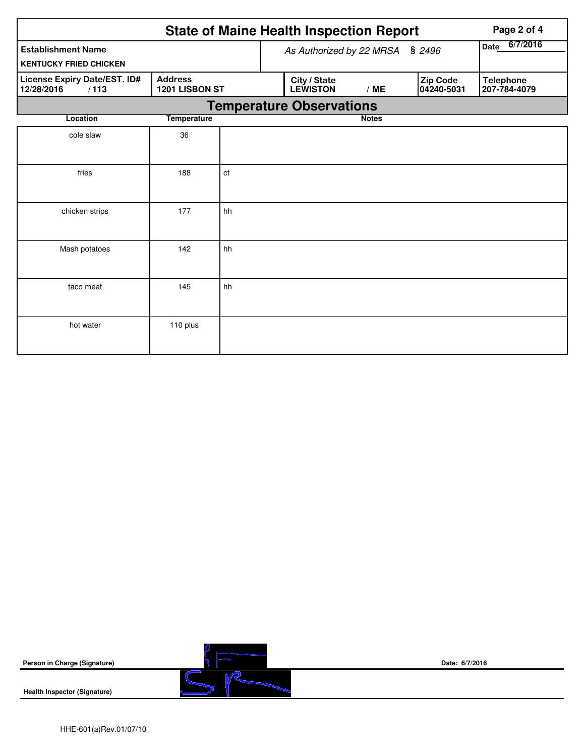|                                                    | Page 2 of 4                      |                                 |                                 |                                 |                        |                                  |  |
|----------------------------------------------------|----------------------------------|---------------------------------|---------------------------------|---------------------------------|------------------------|----------------------------------|--|
| <b>Establishment Name</b>                          |                                  |                                 |                                 | As Authorized by 22 MRSA § 2496 | 6/7/2016<br>Date       |                                  |  |
| <b>KENTUCKY FRIED CHICKEN</b>                      |                                  |                                 |                                 |                                 |                        |                                  |  |
| License Expiry Date/EST. ID#<br>12/28/2016<br>/113 | <b>Address</b><br>1201 LISBON ST |                                 | City / State<br><b>LEWISTON</b> | /ME                             | Zip Code<br>04240-5031 | <b>Telephone</b><br>207-784-4079 |  |
|                                                    |                                  | <b>Temperature Observations</b> |                                 |                                 |                        |                                  |  |
| Location                                           | <b>Temperature</b>               |                                 |                                 |                                 | <b>Notes</b>           |                                  |  |
| cole slaw                                          | 36                               |                                 |                                 |                                 |                        |                                  |  |
| fries                                              | 188                              | ct                              |                                 |                                 |                        |                                  |  |
| chicken strips                                     | 177                              | hh                              |                                 |                                 |                        |                                  |  |
| Mash potatoes                                      | 142                              | hh                              |                                 |                                 |                        |                                  |  |
| taco meat                                          | 145                              | hh                              |                                 |                                 |                        |                                  |  |
| hot water                                          | 110 plus                         |                                 |                                 |                                 |                        |                                  |  |

| Person in Charge (Signature)        | Date: 6/7/2016 |  |  |  |
|-------------------------------------|----------------|--|--|--|
| <b>Health Inspector (Signature)</b> |                |  |  |  |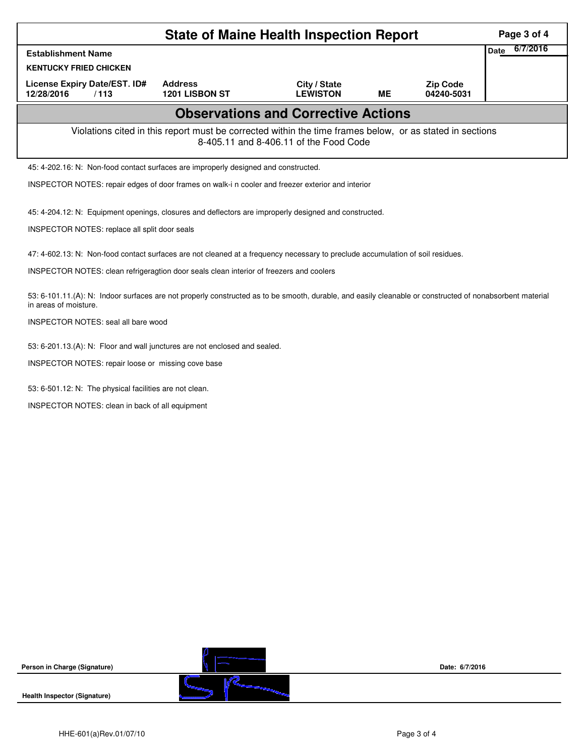| <b>State of Maine Health Inspection Report</b>                                                                                                     |                                                                                                                                                          |                                 |    |                               |                         |  |  |  |  |  |  |
|----------------------------------------------------------------------------------------------------------------------------------------------------|----------------------------------------------------------------------------------------------------------------------------------------------------------|---------------------------------|----|-------------------------------|-------------------------|--|--|--|--|--|--|
| <b>Establishment Name</b>                                                                                                                          |                                                                                                                                                          |                                 |    |                               | 6/7/2016<br><b>Date</b> |  |  |  |  |  |  |
| <b>KENTUCKY FRIED CHICKEN</b>                                                                                                                      |                                                                                                                                                          |                                 |    |                               |                         |  |  |  |  |  |  |
| License Expiry Date/EST. ID#<br>12/28/2016<br>/113                                                                                                 | <b>Address</b><br>1201 LISBON ST                                                                                                                         | City / State<br><b>LEWISTON</b> | ME | <b>Zip Code</b><br>04240-5031 |                         |  |  |  |  |  |  |
| <b>Observations and Corrective Actions</b>                                                                                                         |                                                                                                                                                          |                                 |    |                               |                         |  |  |  |  |  |  |
| Violations cited in this report must be corrected within the time frames below, or as stated in sections<br>8-405.11 and 8-406.11 of the Food Code |                                                                                                                                                          |                                 |    |                               |                         |  |  |  |  |  |  |
| 45: 4-202.16: N: Non-food contact surfaces are improperly designed and constructed.                                                                |                                                                                                                                                          |                                 |    |                               |                         |  |  |  |  |  |  |
| INSPECTOR NOTES: repair edges of door frames on walk-i n cooler and freezer exterior and interior                                                  |                                                                                                                                                          |                                 |    |                               |                         |  |  |  |  |  |  |
| 45: 4-204.12: N: Equipment openings, closures and deflectors are improperly designed and constructed.                                              |                                                                                                                                                          |                                 |    |                               |                         |  |  |  |  |  |  |
| INSPECTOR NOTES: replace all split door seals                                                                                                      |                                                                                                                                                          |                                 |    |                               |                         |  |  |  |  |  |  |
|                                                                                                                                                    |                                                                                                                                                          |                                 |    |                               |                         |  |  |  |  |  |  |
| 47: 4-602.13: N: Non-food contact surfaces are not cleaned at a frequency necessary to preclude accumulation of soil residues.                     |                                                                                                                                                          |                                 |    |                               |                         |  |  |  |  |  |  |
| INSPECTOR NOTES: clean refrigeragtion door seals clean interior of freezers and coolers                                                            |                                                                                                                                                          |                                 |    |                               |                         |  |  |  |  |  |  |
| in areas of moisture.                                                                                                                              | 53: 6-101.11.(A): N: Indoor surfaces are not properly constructed as to be smooth, durable, and easily cleanable or constructed of nonabsorbent material |                                 |    |                               |                         |  |  |  |  |  |  |
| INSPECTOR NOTES: seal all bare wood                                                                                                                |                                                                                                                                                          |                                 |    |                               |                         |  |  |  |  |  |  |
| 53: 6-201.13.(A): N: Floor and wall junctures are not enclosed and sealed.                                                                         |                                                                                                                                                          |                                 |    |                               |                         |  |  |  |  |  |  |
| INSPECTOR NOTES: repair loose or missing cove base                                                                                                 |                                                                                                                                                          |                                 |    |                               |                         |  |  |  |  |  |  |
| 53: 6-501.12: N: The physical facilities are not clean.                                                                                            |                                                                                                                                                          |                                 |    |                               |                         |  |  |  |  |  |  |
| INSPECTOR NOTES: clean in back of all equipment                                                                                                    |                                                                                                                                                          |                                 |    |                               |                         |  |  |  |  |  |  |
|                                                                                                                                                    |                                                                                                                                                          |                                 |    |                               |                         |  |  |  |  |  |  |
|                                                                                                                                                    |                                                                                                                                                          |                                 |    |                               |                         |  |  |  |  |  |  |
|                                                                                                                                                    |                                                                                                                                                          |                                 |    |                               |                         |  |  |  |  |  |  |
|                                                                                                                                                    |                                                                                                                                                          |                                 |    |                               |                         |  |  |  |  |  |  |
|                                                                                                                                                    |                                                                                                                                                          |                                 |    |                               |                         |  |  |  |  |  |  |
|                                                                                                                                                    |                                                                                                                                                          |                                 |    |                               |                         |  |  |  |  |  |  |